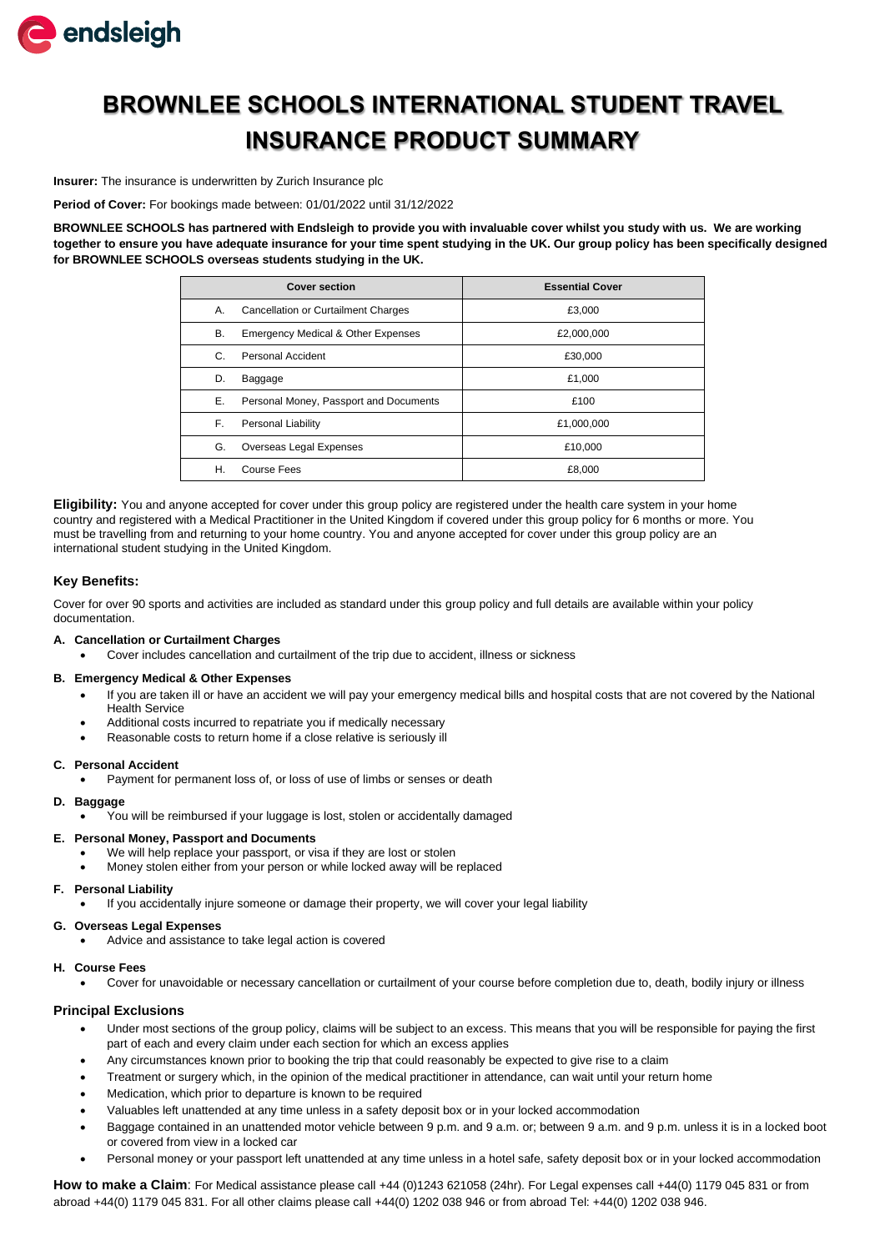

# **BROWNLEE SCHOOLS INTERNATIONAL STUDENT TRAVEL INSURANCE PRODUCT SUMMARY**

**Insurer:** The insurance is underwritten by Zurich Insurance plc

**Period of Cover:** For bookings made between: 01/01/2022 until 31/12/2022

**BROWNLEE SCHOOLS has partnered with Endsleigh to provide you with invaluable cover whilst you study with us. We are working together to ensure you have adequate insurance for your time spent studying in the UK. Our group policy has been specifically designed for BROWNLEE SCHOOLS overseas students studying in the UK.**

| <b>Cover section</b>                                | <b>Essential Cover</b> |
|-----------------------------------------------------|------------------------|
| Cancellation or Curtailment Charges<br>А.           | £3,000                 |
| В.<br><b>Emergency Medical &amp; Other Expenses</b> | £2,000,000             |
| Personal Accident<br>C.                             | £30,000                |
| D.<br>Baggage                                       | £1,000                 |
| Е.<br>Personal Money, Passport and Documents        | £100                   |
| F.<br><b>Personal Liability</b>                     | £1,000,000             |
| G.<br>Overseas Legal Expenses                       | £10,000                |
| Η.<br>Course Fees                                   | £8,000                 |

**Eligibility:** You and anyone accepted for cover under this group policy are registered under the health care system in your home country and registered with a Medical Practitioner in the United Kingdom if covered under this group policy for 6 months or more. You must be travelling from and returning to your home country. You and anyone accepted for cover under this group policy are an international student studying in the United Kingdom.

## **Key Benefits:**

Cover for over 90 sports and activities are included as standard under this group policy and full details are available within your policy documentation.

## **A. Cancellation or Curtailment Charges**

• Cover includes cancellation and curtailment of the trip due to accident, illness or sickness

#### **B. Emergency Medical & Other Expenses**

- If you are taken ill or have an accident we will pay your emergency medical bills and hospital costs that are not covered by the National Health Service
- Additional costs incurred to repatriate you if medically necessary
- Reasonable costs to return home if a close relative is seriously ill

#### **C. Personal Accident**

• Payment for permanent loss of, or loss of use of limbs or senses or death

### **D. Baggage**

• You will be reimbursed if your luggage is lost, stolen or accidentally damaged

#### **E. Personal Money, Passport and Documents**

- We will help replace your passport, or visa if they are lost or stolen
- Money stolen either from your person or while locked away will be replaced

## **F. Personal Liability**

• If you accidentally injure someone or damage their property, we will cover your legal liability

## **G. Overseas Legal Expenses**

• Advice and assistance to take legal action is covered

## **H. Course Fees**

• Cover for unavoidable or necessary cancellation or curtailment of your course before completion due to, death, bodily injury or illness

## **Principal Exclusions**

- Under most sections of the group policy, claims will be subject to an excess. This means that you will be responsible for paying the first part of each and every claim under each section for which an excess applies
- Any circumstances known prior to booking the trip that could reasonably be expected to give rise to a claim
- Treatment or surgery which, in the opinion of the medical practitioner in attendance, can wait until your return home
- Medication, which prior to departure is known to be required
- Valuables left unattended at any time unless in a safety deposit box or in your locked accommodation
- Baggage contained in an unattended motor vehicle between 9 p.m. and 9 a.m. or; between 9 a.m. and 9 p.m. unless it is in a locked boot or covered from view in a locked car
- Personal money or your passport left unattended at any time unless in a hotel safe, safety deposit box or in your locked accommodation

How to make a Claim: For Medical assistance please call +44 (0)1243 621058 (24hr). For Legal expenses call +44(0) 1179 045 831 or from abroad +44(0) 1179 045 831. For all other claims please call +44(0) 1202 038 946 or from abroad Tel: +44(0) 1202 038 946.